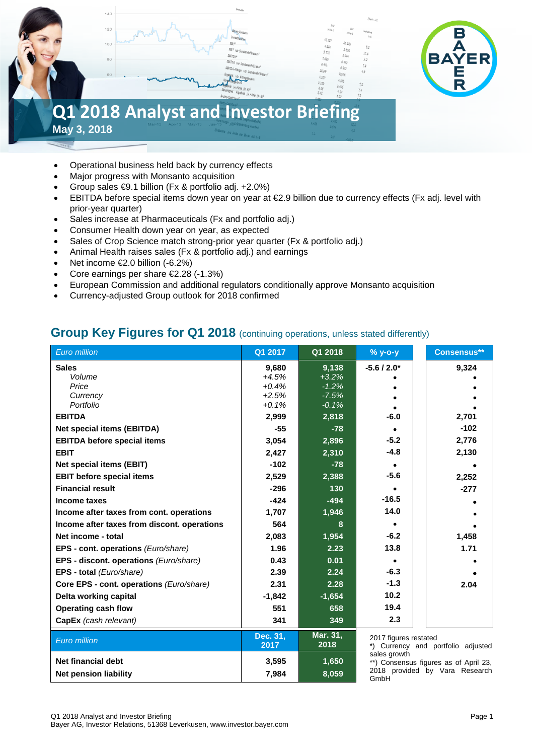# $140$  $120$  $100$ **Q1 2018 Analyst and Investor Briefing May 3, 2018**

• Operational business held back by currency effects

- Major progress with Monsanto acquisition
- Group sales €9.1 billion (Fx & portfolio adj. +2.0%)
- EBITDA before special items down year on year at €2.9 billion due to currency effects (Fx adj. level with prior-year quarter)
- Sales increase at Pharmaceuticals (Fx and portfolio adj.)
- Consumer Health down year on year, as expected
- Sales of Crop Science match strong-prior year quarter (Fx & portfolio adj.)
- Animal Health raises sales (Fx & portfolio adj.) and earnings
- Net income  $\epsilon$ 2.0 billion (-6.2%)
- Core earnings per share €2.28 (-1.3%)
- European Commission and additional regulators conditionally approve Monsanto acquisition
- Currency-adjusted Group outlook for 2018 confirmed

#### **Group Key Figures for Q1 2018** (continuing operations, unless stated differently)

| <b>Euro million</b>                         | Q1 2017            | Q1 2018            | $%$ y-o-y             | <b>Consensus**</b>                    |
|---------------------------------------------|--------------------|--------------------|-----------------------|---------------------------------------|
| <b>Sales</b>                                | 9,680              | 9,138              | $-5.6/2.0*$           | 9,324                                 |
| Volume                                      | $+4.5%$            | $+3.2%$            |                       |                                       |
| Price                                       | $+0.4%$            | $-1.2%$            |                       |                                       |
| Currency<br>Portfolio                       | $+2.5%$<br>$+0.1%$ | $-7.5%$<br>$-0.1%$ |                       |                                       |
| <b>EBITDA</b>                               | 2,999              | 2,818              | $-6.0$                | 2,701                                 |
| <b>Net special items (EBITDA)</b>           | $-55$              | $-78$              |                       | $-102$                                |
| <b>EBITDA before special items</b>          | 3,054              | 2,896              | $-5.2$                | 2,776                                 |
| <b>EBIT</b>                                 | 2,427              | 2,310              | $-4.8$                | 2,130                                 |
| Net special items (EBIT)                    | $-102$             | $-78$              | $\bullet$             |                                       |
| <b>EBIT before special items</b>            | 2,529              | 2,388              | $-5.6$                | 2,252                                 |
| <b>Financial result</b>                     | $-296$             | 130                |                       | $-277$                                |
| Income taxes                                | $-424$             | $-494$             | $-16.5$               |                                       |
| Income after taxes from cont. operations    | 1,707              | 1,946              | 14.0                  |                                       |
| Income after taxes from discont. operations | 564                | 8                  |                       |                                       |
| Net income - total                          | 2,083              | 1,954              | $-6.2$                | 1,458                                 |
| EPS - cont. operations (Euro/share)         | 1.96               | 2.23               | 13.8                  | 1.71                                  |
| EPS - discont. operations (Euro/share)      | 0.43               | 0.01               |                       |                                       |
| EPS - total (Euro/share)                    | 2.39               | 2.24               | $-6.3$                |                                       |
| Core EPS - cont. operations (Euro/share)    | 2.31               | 2.28               | $-1.3$                | 2.04                                  |
| Delta working capital                       | $-1,842$           | $-1,654$           | 10.2                  |                                       |
| <b>Operating cash flow</b>                  | 551                | 658                | 19.4                  |                                       |
| CapEx (cash relevant)                       | 341                | 349                | 2.3                   |                                       |
| Euro million                                | Dec. 31,<br>2017   | Mar. 31,<br>2018   | 2017 figures restated | *) Currency and portfolio adjusted    |
| <b>Net financial debt</b>                   | 3,595              | 1,650              | sales growth          | **) Consensus figures as of April 23, |
| <b>Net pension liability</b>                | 7,984              | 8,059              | GmbH                  | 2018 provided by Vara Research        |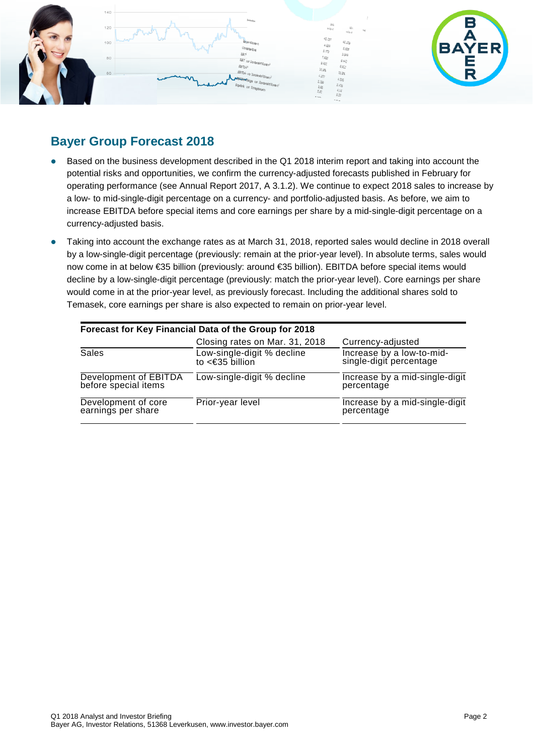

#### **Bayer Group Forecast 2018**

- Based on the business development described in the Q1 2018 interim report and taking into account the potential risks and opportunities, we confirm the currency-adjusted forecasts published in February for operating performance (see Annual Report 2017, A 3.1.2). We continue to expect 2018 sales to increase by a low- to mid-single-digit percentage on a currency- and portfolio-adjusted basis. As before, we aim to increase EBITDA before special items and core earnings per share by a mid-single-digit percentage on a currency-adjusted basis.
- Taking into account the exchange rates as at March 31, 2018, reported sales would decline in 2018 overall by a low-single-digit percentage (previously: remain at the prior-year level). In absolute terms, sales would now come in at below €35 billion (previously: around €35 billion). EBITDA before special items would decline by a low-single-digit percentage (previously: match the prior-year level). Core earnings per share would come in at the prior-year level, as previously forecast. Including the additional shares sold to Temasek, core earnings per share is also expected to remain on prior-year level.

|                                               | Forecast for Key Financial Data of the Group for 2018 |                                                      |
|-----------------------------------------------|-------------------------------------------------------|------------------------------------------------------|
|                                               | Closing rates on Mar. 31, 2018                        | Currency-adjusted                                    |
| Sales                                         | Low-single-digit % decline<br>to $\leq 35$ billion    | Increase by a low-to-mid-<br>single-digit percentage |
| Development of EBITDA<br>before special items | Low-single-digit % decline                            | Increase by a mid-single-digit<br>percentage         |
| Development of core<br>earnings per share     | Prior-year level                                      | Increase by a mid-single-digit<br>percentage         |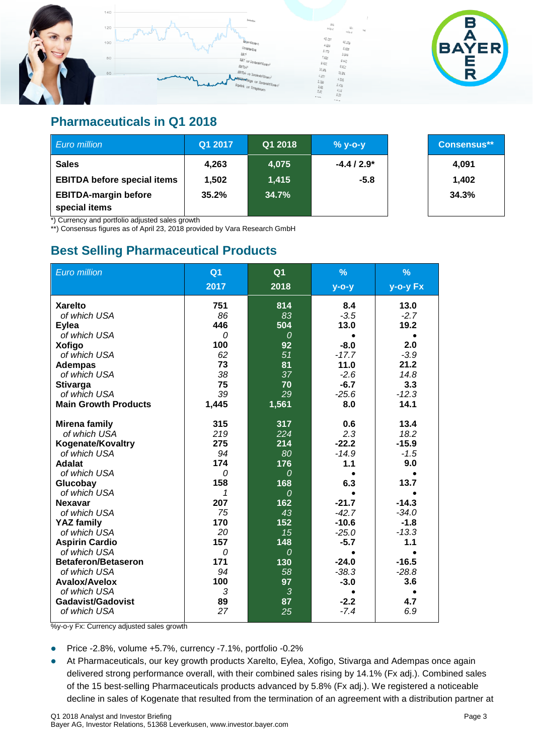

#### **Pharmaceuticals in Q1 2018**

| Euro million                                 | Q1 2017 | Q1 2018 | $% y-o-y$   | Consensus** |
|----------------------------------------------|---------|---------|-------------|-------------|
| <b>Sales</b>                                 | 4,263   | 4,075   | $-4.4/2.9*$ | 4,091       |
| <b>EBITDA before special items</b>           | 1.502   | 1,415   | $-5.8$      | 1,402       |
| <b>EBITDA-margin before</b><br>special items | 35.2%   | 34.7%   |             | 34.3%       |

\*) Currency and portfolio adjusted sales growth

\*\*) Consensus figures as of April 23, 2018 provided by Vara Research GmbH

#### **Best Selling Pharmaceutical Products**

| Euro million                                                                                                                                                                                                                                                                                                                                                     | Q <sub>1</sub><br>2017                                                                                              | Q <sub>1</sub><br>2018                                                                                                                  | $\frac{9}{6}$<br>$y$ -o-y                                                                                                                         | $\frac{9}{6}$<br>y-o-y Fx                                                                                                             |
|------------------------------------------------------------------------------------------------------------------------------------------------------------------------------------------------------------------------------------------------------------------------------------------------------------------------------------------------------------------|---------------------------------------------------------------------------------------------------------------------|-----------------------------------------------------------------------------------------------------------------------------------------|---------------------------------------------------------------------------------------------------------------------------------------------------|---------------------------------------------------------------------------------------------------------------------------------------|
| <b>Xarelto</b><br>of which USA<br><b>Eylea</b><br>of which USA<br><b>Xofigo</b><br>of which USA<br><b>Adempas</b><br>of which USA<br><b>Stivarga</b><br>of which USA<br><b>Main Growth Products</b><br><b>Mirena family</b>                                                                                                                                      | 751<br>86<br>446<br>$\Omega$<br>100<br>62<br>73<br>38<br>75<br>39<br>1,445<br>315                                   | 814<br>83<br>504<br>$\Omega$<br>92<br>51<br>81<br>37<br>70<br>29<br>1,561<br>317                                                        | 8.4<br>$-3.5$<br>13.0<br>$-8.0$<br>$-17.7$<br>11.0<br>$-2.6$<br>$-6.7$<br>$-25.6$<br>8.0<br>0.6                                                   | 13.0<br>$-2.7$<br>19.2<br>2.0<br>$-3.9$<br>21.2<br>14.8<br>3.3<br>$-12.3$<br>14.1<br>13.4                                             |
| of which USA<br><b>Kogenate/Kovaltry</b><br>of which USA<br><b>Adalat</b><br>of which USA<br>Glucobay<br>of which USA<br><b>Nexavar</b><br>of which USA<br><b>YAZ family</b><br>of which USA<br><b>Aspirin Cardio</b><br>of which USA<br><b>Betaferon/Betaseron</b><br>of which USA<br>Avalox/Avelox<br>of which USA<br><b>Gadavist/Gadovist</b><br>of which USA | 219<br>275<br>94<br>174<br>0<br>158<br>1<br>207<br>75<br>170<br>20<br>157<br>0<br>171<br>94<br>100<br>3<br>89<br>27 | 224<br>214<br>80<br>176<br>$\Omega$<br>168<br>$\Omega$<br>162<br>43<br>152<br>15<br>148<br>$\Omega$<br>130<br>58<br>97<br>3<br>87<br>25 | 2.3<br>$-22.2$<br>$-14.9$<br>1.1<br>6.3<br>$-21.7$<br>$-42.7$<br>$-10.6$<br>$-25.0$<br>$-5.7$<br>$-24.0$<br>$-38.3$<br>$-3.0$<br>$-2.2$<br>$-7.4$ | 18.2<br>$-15.9$<br>$-1.5$<br>9.0<br>13.7<br>$-14.3$<br>$-34.0$<br>$-1.8$<br>$-13.3$<br>1.1<br>$-16.5$<br>$-28.8$<br>3.6<br>4.7<br>6.9 |

%y-o-y Fx: Currency adjusted sales growth

- Price -2.8%, volume  $+5.7$ %, currency -7.1%, portfolio -0.2%
- At Pharmaceuticals, our key growth products Xarelto, Eylea, Xofigo, Stivarga and Adempas once again delivered strong performance overall, with their combined sales rising by 14.1% (Fx adj.). Combined sales of the 15 best-selling Pharmaceuticals products advanced by 5.8% (Fx adj.). We registered a noticeable decline in sales of Kogenate that resulted from the termination of an agreement with a distribution partner at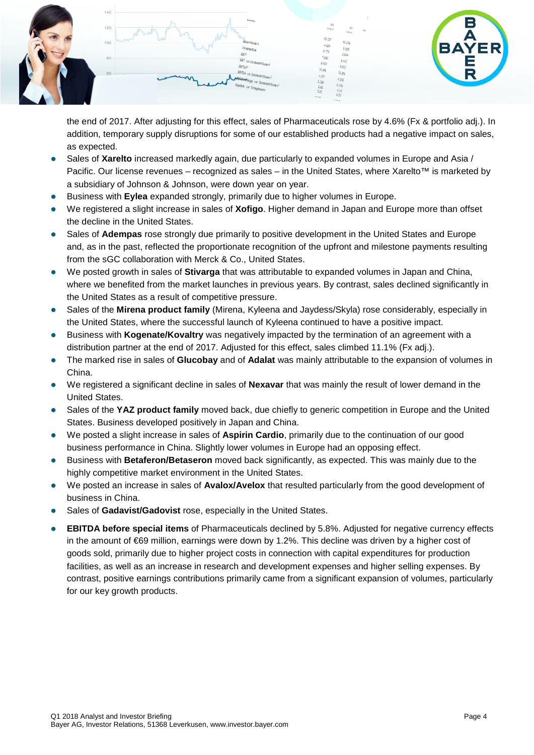

the end of 2017. After adjusting for this effect, sales of Pharmaceuticals rose by 4.6% (Fx & portfolio adj.). In addition, temporary supply disruptions for some of our established products had a negative impact on sales, as expected.

- Sales of **Xarelto** increased markedly again, due particularly to expanded volumes in Europe and Asia / Pacific. Our license revenues – recognized as sales – in the United States, where Xarelto™ is marketed by a subsidiary of Johnson & Johnson, were down year on year.
- Business with **Eylea** expanded strongly, primarily due to higher volumes in Europe.
- We registered a slight increase in sales of **Xofigo**. Higher demand in Japan and Europe more than offset the decline in the United States.
- Sales of **Adempas** rose strongly due primarily to positive development in the United States and Europe and, as in the past, reflected the proportionate recognition of the upfront and milestone payments resulting from the sGC collaboration with Merck & Co., United States.
- We posted growth in sales of **Stivarga** that was attributable to expanded volumes in Japan and China, where we benefited from the market launches in previous years. By contrast, sales declined significantly in the United States as a result of competitive pressure.
- Sales of the **Mirena product family** (Mirena, Kyleena and Jaydess/Skyla) rose considerably, especially in the United States, where the successful launch of Kyleena continued to have a positive impact.
- Business with **Kogenate/Kovaltry** was negatively impacted by the termination of an agreement with a distribution partner at the end of 2017. Adjusted for this effect, sales climbed 11.1% (Fx adj.).
- The marked rise in sales of **Glucobay** and of **Adalat** was mainly attributable to the expansion of volumes in China.
- We registered a significant decline in sales of **Nexavar** that was mainly the result of lower demand in the United States.
- Sales of the **YAZ product family** moved back, due chiefly to generic competition in Europe and the United States. Business developed positively in Japan and China.
- We posted a slight increase in sales of **Aspirin Cardio**, primarily due to the continuation of our good business performance in China. Slightly lower volumes in Europe had an opposing effect.
- Business with **Betaferon/Betaseron** moved back significantly, as expected. This was mainly due to the highly competitive market environment in the United States.
- We posted an increase in sales of **Avalox/Avelox** that resulted particularly from the good development of business in China.
- Sales of **Gadavist/Gadovist** rose, especially in the United States.
- **EBITDA before special items** of Pharmaceuticals declined by 5.8%. Adjusted for negative currency effects in the amount of €69 million, earnings were down by 1.2%. This decline was driven by a higher cost of goods sold, primarily due to higher project costs in connection with capital expenditures for production facilities, as well as an increase in research and development expenses and higher selling expenses. By contrast, positive earnings contributions primarily came from a significant expansion of volumes, particularly for our key growth products.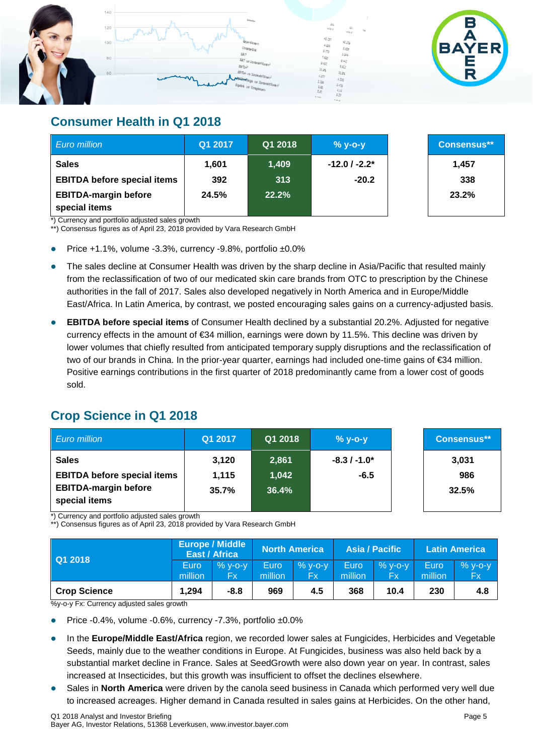

#### **Consumer Health in Q1 2018**

| Euro million                                 | Q1 2017 | Q1 2018 | $%$ y-o-y         | <b>Consensus**</b> |
|----------------------------------------------|---------|---------|-------------------|--------------------|
| <b>Sales</b>                                 | 1.601   | 1,409   | $-12.0$ / $-2.2*$ | 1,457              |
| <b>EBITDA before special items</b>           | 392     | 313     | $-20.2$           | 338                |
| <b>EBITDA-margin before</b><br>special items | 24.5%   | 22.2%   |                   | 23.2%              |

\*) Currency and portfolio adjusted sales growth

\*\*) Consensus figures as of April 23, 2018 provided by Vara Research GmbH

- Price +1.1%, volume -3.3%, currency -9.8%, portfolio ±0.0%
- The sales decline at Consumer Health was driven by the sharp decline in Asia/Pacific that resulted mainly from the reclassification of two of our medicated skin care brands from OTC to prescription by the Chinese authorities in the fall of 2017. Sales also developed negatively in North America and in Europe/Middle East/Africa. In Latin America, by contrast, we posted encouraging sales gains on a currency-adjusted basis.
- **EBITDA before special items** of Consumer Health declined by a substantial 20.2%. Adjusted for negative currency effects in the amount of €34 million, earnings were down by 11.5%. This decline was driven by lower volumes that chiefly resulted from anticipated temporary supply disruptions and the reclassification of two of our brands in China. In the prior-year quarter, earnings had included one-time gains of €34 million. Positive earnings contributions in the first quarter of 2018 predominantly came from a lower cost of goods sold.

### **Crop Science in Q1 2018**

| <b>Euro million</b>                          | Q1 2017 | Q1 2018 | $% y-o-y$     | <b>Consensus**</b> |
|----------------------------------------------|---------|---------|---------------|--------------------|
| <b>Sales</b>                                 | 3,120   | 2,861   | $-8.3/ -1.0*$ | 3,031              |
| <b>EBITDA before special items</b>           | 1,115   | 1,042   | $-6.5$        | 986                |
| <b>EBITDA-margin before</b><br>special items | 35.7%   | 36.4%   |               | 32.5%              |

\*) Currency and portfolio adjusted sales growth

\*\*) Consensus figures as of April 23, 2018 provided by Vara Research GmbH

| Q1 2018             |         | <b>Europe / Middle</b><br>East / Africa |             | <b>North America</b> |         | Asia / Pacific |         | <b>Latin America</b> |
|---------------------|---------|-----------------------------------------|-------------|----------------------|---------|----------------|---------|----------------------|
|                     | Euro    | $%$ y-o-y                               | <b>Euro</b> | $%$ y-o-y            | Euro    | $% y-o-y$      | Euro    | $%$ y-o-y            |
|                     | million | Fχ                                      | million     | Fx                   | million | Fχ             | million | <b>Fx</b>            |
| <b>Crop Science</b> | 1.294   | $-8.8$                                  | 969         | 4.5                  | 368     | 10.4           | 230     | 4.8                  |

%y-o-y Fx: Currency adjusted sales growth

Price -0.4%, volume -0.6%, currency -7.3%, portfolio ±0.0%

- In the **Europe/Middle East/Africa** region, we recorded lower sales at Fungicides, Herbicides and Vegetable Seeds, mainly due to the weather conditions in Europe. At Fungicides, business was also held back by a substantial market decline in France. Sales at SeedGrowth were also down year on year. In contrast, sales increased at Insecticides, but this growth was insufficient to offset the declines elsewhere.
- Sales in **North America** were driven by the canola seed business in Canada which performed very well due to increased acreages. Higher demand in Canada resulted in sales gains at Herbicides. On the other hand,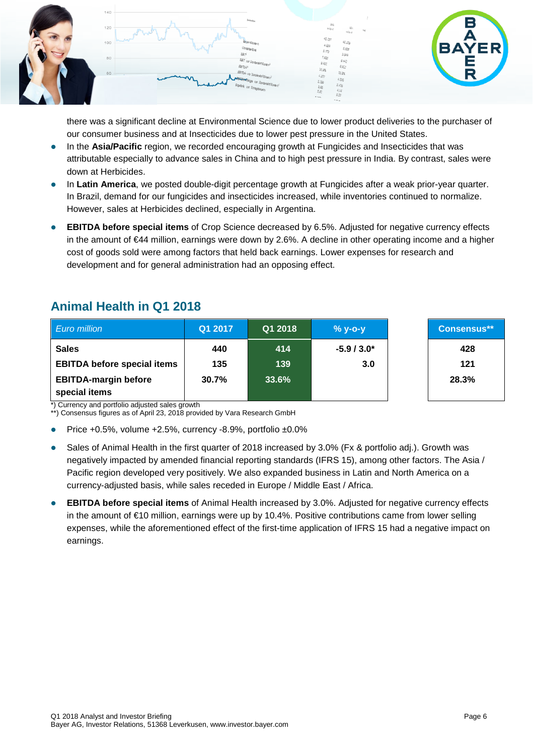

there was a significant decline at Environmental Science due to lower product deliveries to the purchaser of our consumer business and at Insecticides due to lower pest pressure in the United States.

- In the **Asia/Pacific** region, we recorded encouraging growth at Fungicides and Insecticides that was attributable especially to advance sales in China and to high pest pressure in India. By contrast, sales were down at Herbicides.
- In **Latin America**, we posted double-digit percentage growth at Fungicides after a weak prior-year quarter. In Brazil, demand for our fungicides and insecticides increased, while inventories continued to normalize. However, sales at Herbicides declined, especially in Argentina.
- **EBITDA before special items** of Crop Science decreased by 6.5%. Adjusted for negative currency effects in the amount of €44 million, earnings were down by 2.6%. A decline in other operating income and a higher cost of goods sold were among factors that held back earnings. Lower expenses for research and development and for general administration had an opposing effect.

| <b>Euro million</b>                          | Q1 2017 | Q1 2018 | $%$ y-o-y   | <b>Consensus**</b> |
|----------------------------------------------|---------|---------|-------------|--------------------|
| <b>Sales</b>                                 | 440     | 414     | $-5.9/3.0*$ | 428                |
| <b>EBITDA before special items</b>           | 135     | 139     | 3.0         | 121                |
| <b>EBITDA-margin before</b><br>special items | 30.7%   | 33.6%   |             | 28.3%              |

### **Animal Health in Q1 2018**

\*) Currency and portfolio adjusted sales growth

\*\*) Consensus figures as of April 23, 2018 provided by Vara Research GmbH

- Price +0.5%, volume +2.5%, currency -8.9%, portfolio ±0.0%
- Sales of Animal Health in the first quarter of 2018 increased by 3.0% (Fx & portfolio adj.). Growth was negatively impacted by amended financial reporting standards (IFRS 15), among other factors. The Asia / Pacific region developed very positively. We also expanded business in Latin and North America on a currency-adjusted basis, while sales receded in Europe / Middle East / Africa.
- **EBITDA before special items** of Animal Health increased by 3.0%. Adjusted for negative currency effects in the amount of €10 million, earnings were up by 10.4%. Positive contributions came from lower selling expenses, while the aforementioned effect of the first-time application of IFRS 15 had a negative impact on earnings.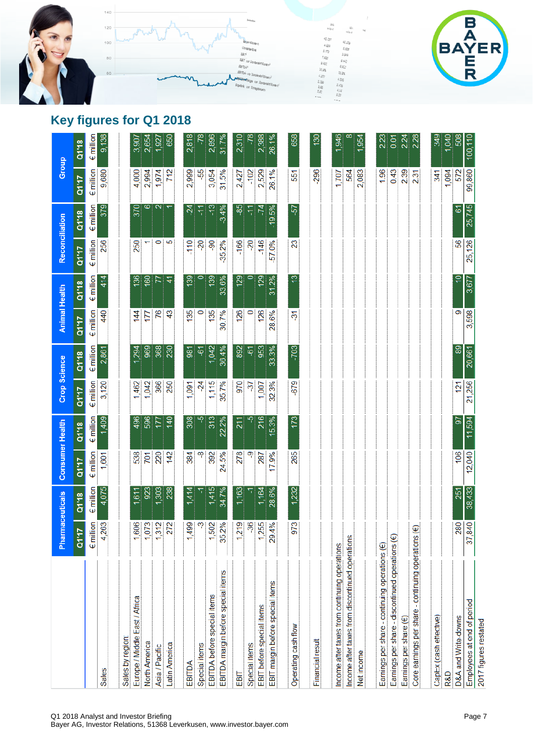



## **Key figures for Q1 2018**

|                                                  | Pharmaceuticals    |                    | <b>Consumer Health</b> |                    | Crop Science       |                    | <b>Animal Health</b> |                           | Reconciliation     |                    |                     | <b>Group</b>       |
|--------------------------------------------------|--------------------|--------------------|------------------------|--------------------|--------------------|--------------------|----------------------|---------------------------|--------------------|--------------------|---------------------|--------------------|
|                                                  | <b>Dilio</b>       | Q1'18              | Q1'17                  | Q1'18              | Q1'17              | Q1'18              | Q1'17                | Q1'18                     | Q1'17              | Q1'18              | Q1'17               | Q1'18              |
|                                                  | $\epsilon$ million | $\epsilon$ million | $\epsilon$ million     | $\epsilon$ million | $\epsilon$ million | $\epsilon$ million | $\epsilon$ million   | $\epsilon$ million        | $\epsilon$ million | $\epsilon$ million | $\epsilon$ million  | $\epsilon$ million |
| <b>Sales</b>                                     | 4,263              | 4,075              | 1,601                  | 1,409              | 3,120              | 2,861              | 440                  | 414                       | 256                | 379                | 9,680               | 9,138              |
| Sales by region                                  |                    |                    |                        |                    |                    |                    |                      |                           |                    |                    |                     |                    |
| Europe / Middle East / Africa                    | 1,606              | ,611               | 538                    | 496                | 462<br>᠇           | 294                | 144                  | 136                       | 250                | 370                | 4,000               | 3,907              |
| North America                                    | 1,073              | 923                | 701                    | 596                | 1,042              | 969                | 177                  | $\frac{8}{2}$             |                    | ∞                  | 2,994               | 2,654              |
| Asia / Pacific                                   | 1,312              | 303                | 220                    | IЦ                 | 366                | 368                | 76                   | 77                        | 0                  | $\sim$             | 1,974               | 1,927              |
| Latin America                                    | 272                | 238                | 142                    | 140                | 250                | 230                | $\overline{43}$      | 4                         | 5                  |                    | 712                 | 650                |
| EBITDA                                           | 99<br>$\dot{z}$    | 1,414              | 384                    | 308                | 1,091              | 981                | 135                  | 139                       | $-110$             | $\overline{c}$     | 2,999               | 2,818              |
| Special items                                    | ్రా                |                    | ထု                     |                    | $-24$              | 61                 | $\circ$              |                           | 20                 | 두                  | 55                  | -78                |
| EBITDA before special items                      | 1,502              | 1,415              | 392                    | 313                | 115                | 1,042              | 135                  | 139                       | $-90$              | $-13$              | 3,054               | 2,896              |
| EBITDA margin before special items               | 35.2%              | 34.7%              | 24.5%                  | 22.2%              | 35.7%              | 36.4%              | 30.7%                | 33.6%                     | 35.2%              | $-3.4%$            | 31.5%               | 31.7%              |
| EBIT                                             | 1,219              | 1,163              | 278                    | 211                | 970                | 892                | 126                  | 129                       | -166               | န္ဒ                | 2,427               | 2,310              |
| Special items                                    | -36                |                    | တု                     |                    | $\overline{37}$    | $\overline{\phi}$  | 0                    |                           | $\overline{c}$     | 두                  | $-102$              | 7                  |
| EBIT before special items                        | 1,255              | 1,164              | 287                    | 216                | 1,007              | 953                | 126                  | 129                       | $-146$             | $-74$              | 2,529               | 2,388              |
| EBIT margin before special items                 | 29.4%              | 28.6%              | 17.9%                  | 5.3%               | 32.3%              | 33.3%              | 28.6%                | 31.2%                     | -57.0%             | $-19.5%$           | 26.1%               | 26.1%              |
| Operating cash flow                              | 973                | 1,232              | 265                    | 173                | -679               | $-703$             | స్                   | Φ                         | 23                 | 57                 | 551                 | 658                |
| Financial result                                 |                    |                    |                        |                    |                    |                    |                      |                           |                    |                    | 296                 | 130                |
| Income after taxes from continuing operations    |                    |                    |                        |                    |                    |                    |                      |                           |                    |                    | 1,707               | ,946               |
| Income after taxes from discontinued operations  |                    |                    |                        |                    |                    |                    |                      |                           |                    |                    | 564                 |                    |
| Net income                                       |                    |                    |                        |                    |                    |                    |                      |                           |                    |                    | 2,083               | ,954               |
|                                                  |                    |                    |                        |                    |                    |                    |                      |                           |                    |                    |                     |                    |
| Earnings per share - continuing operations (€)   |                    |                    |                        |                    |                    |                    |                      |                           |                    |                    | 1.96                | 2.23               |
| Earnings per share - discontinued operations (€) |                    |                    |                        |                    |                    |                    |                      |                           |                    |                    | 0.43                | 0.01               |
| Earnings per share (€)                           |                    |                    |                        |                    |                    |                    |                      |                           |                    |                    | 2.39                | 2.24               |
| Core earnings per share - continuing operations  | ⊕                  |                    |                        |                    |                    |                    |                      |                           |                    |                    | $\overline{5}$<br>N | 2.28               |
| CapEx (cash effective)                           |                    |                    |                        |                    |                    |                    |                      |                           |                    |                    | 341                 | 349                |
| R&D                                              |                    |                    |                        |                    |                    |                    |                      |                           |                    |                    | 094                 | 040                |
| D&A and Write-downs                              | 280                | 251                | 106                    | 57                 | $\overline{2}$     | 89                 | တ                    | $\widetilde{\phantom{a}}$ | 56                 | 6                  | 572                 | 508                |
| Employees at end of period                       | 37,840             | 38,433             | 12,040                 | 11,594             | 21,256             | 20,661             | 3,598                | 3,677                     | 25,126             | 25,745             | 99,860              | 100,110            |
| 2017 figures restated                            |                    |                    |                        |                    |                    |                    |                      |                           |                    |                    |                     |                    |

Q1 2018 Analyst and Investor Briefing Page 7

Bayer AG, Investor Relations, 51368 Leverkusen, www.investor.bayer.com